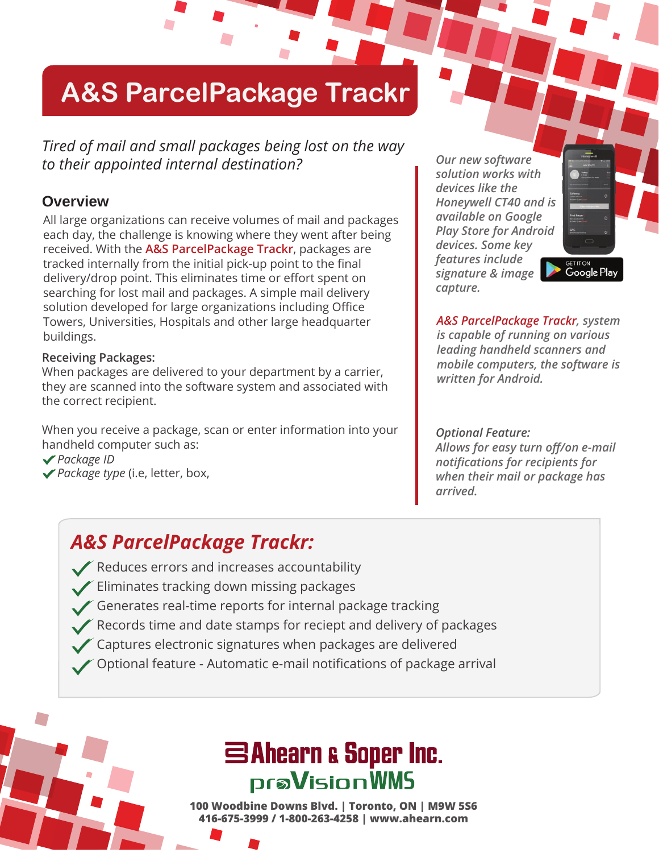## **A&S ParcelPackage Trackr**

*Tired of mail and small packages being lost on the way to their appointed internal destination?*

#### **Overview**

All large organizations can receive volumes of mail and packages each day, the challenge is knowing where they went after being received. With the **A&S ParcelPackage Trackr**, packages are tracked internally from the initial pick-up point to the final delivery/drop point. This eliminates time or effort spent on searching for lost mail and packages. A simple mail delivery solution developed for large organizations including Office Towers, Universities, Hospitals and other large headquarter buildings.

#### **Receiving Packages:**

When packages are delivered to your department by a carrier, they are scanned into the software system and associated with the correct recipient.

When you receive a package, scan or enter information into your handheld computer such as:

- *Package ID*
- *Package type* (i.e, letter, box,

*Our new software solution works with devices like the Honeywell CT40 and is available on Google Play Store for Android devices. Some key features include signature & image capture.* 



*A&S ParcelPackage Trackr, system is capable of running on various leading handheld scanners and mobile computers, the software is written for Android.*

*Optional Feature: Allows for easy turn off/on e-mail notifications for recipients for when their mail or package has arrived.* 

#### *A&S ParcelPackage Trackr:*

- Reduces errors and increases accountability
- Eliminates tracking down missing packages
- Generates real-time reports for internal package tracking
- Records time and date stamps for reciept and delivery of packages
- Captures electronic signatures when packages are delivered
- Optional feature Automatic e-mail notifications of package arrival

### SAhearn & Soper Inc. **praVisionWMS**

**100 Woodbine Downs Blvd. | Toronto, ON | M9W 5S6 416-675-3999 / 1-800-263-4258 | www.ahearn.com**